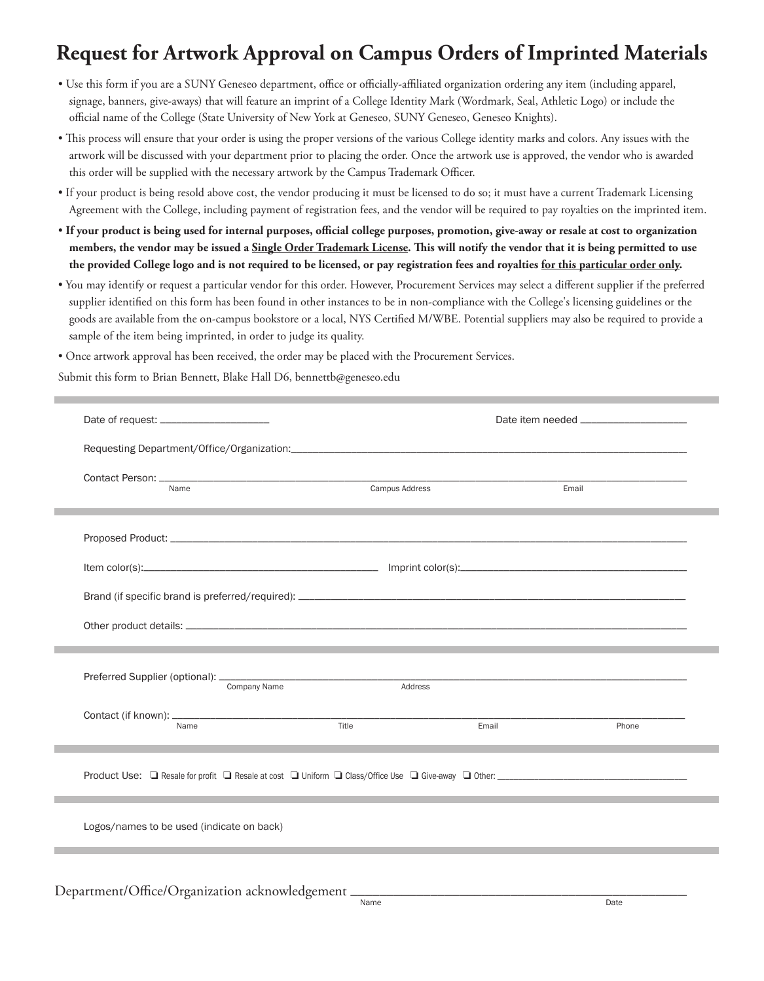## **Request for Artwork Approval on Campus Orders of Imprinted Materials**

- Use this form if you are a SUNY Geneseo department, office or officially-affiliated organization ordering any item (including apparel, signage, banners, give-aways) that will feature an imprint of a College Identity Mark (Wordmark, Seal, Athletic Logo) or include the official name of the College (State University of New York at Geneseo, SUNY Geneseo, Geneseo Knights).
- This process will ensure that your order is using the proper versions of the various College identity marks and colors. Any issues with the artwork will be discussed with your department prior to placing the order. Once the artwork use is approved, the vendor who is awarded this order will be supplied with the necessary artwork by the Campus Trademark Officer.
- If your product is being resold above cost, the vendor producing it must be licensed to do so; it must have a current Trademark Licensing Agreement with the College, including payment of registration fees, and the vendor will be required to pay royalties on the imprinted item.
- · If your product is being used for internal purposes, official college purposes, promotion, give-away or resale at cost to organization members, the vendor may be issued a Single Order Trademark License. This will notify the vendor that it is being permitted to use the provided College logo and is not required to be licensed, or pay registration fees and royalties for this particular order only.
- You may identify or request a particular vendor for this order. However, Procurement Services may select a different supplier if the preferred supplier identified on this form has been found in other instances to be in non-compliance with the College's licensing guidelines or the goods are available from the on-campus bookstore or a local, NYS Certified M/WBE. Potential suppliers may also be required to provide a sample of the item being imprinted, in order to judge its quality.
- Once artwork approval has been received, the order may be placed with the Procurement Services.

Submit this form to Brian Bennett, Blake Hall D6, bennettb@geneseo.edu

| Name                                      |              | <b>Campus Address</b><br>,我们也不会有什么。""我们的人,我们也不会有什么?""我们的人,我们也不会有什么?""我们的人,我们也不会有什么?""我们的人,我们也不会有什么?""我们的人 |       | Email |       |
|-------------------------------------------|--------------|-----------------------------------------------------------------------------------------------------------|-------|-------|-------|
|                                           |              |                                                                                                           |       |       |       |
|                                           |              |                                                                                                           |       |       |       |
|                                           |              |                                                                                                           |       |       |       |
|                                           |              |                                                                                                           |       |       |       |
|                                           | Company Name | Address                                                                                                   |       |       |       |
| Name                                      |              | Title                                                                                                     | Email |       | Phone |
|                                           |              |                                                                                                           |       |       |       |
|                                           |              |                                                                                                           |       |       |       |
| Logos/names to be used (indicate on back) |              |                                                                                                           |       |       |       |
|                                           |              |                                                                                                           |       |       |       |